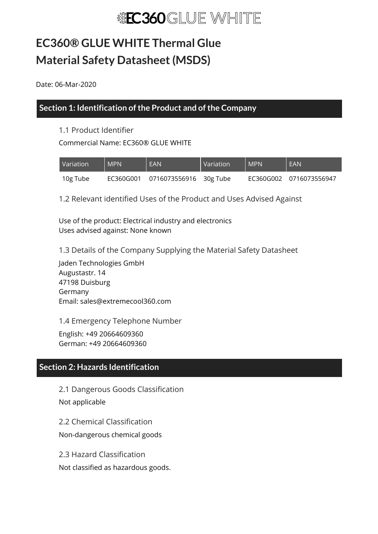# **EC360® GLUE WHITE Thermal Glue Material Safety Datasheet(MSDS)**

Date: 06-Mar-2020

# **Section 1: Identification of the Product and of the Company**

### 1.1 Product Identifier

Commercial Name: EC360® GLUE WHITE

| Variation | <b>MPN</b> | <b>EAN</b>                       | <b>Variation</b> | <b>MPN</b> | EAN                     |
|-----------|------------|----------------------------------|------------------|------------|-------------------------|
| 10g Tube  |            | EC360G001 0716073556916 30g Tube |                  |            | EC360G002 0716073556947 |

1.2 Relevant identified Uses of the Product and Uses Advised Against

Use of the product: Electrical industry and electronics Uses advised against: None known

1.3 Details of the Company Supplying the Material Safety Datasheet

Jaden Technologies GmbH Augustastr. 14 47198 Duisburg Germany Email: sales@extremecool360.com

1.4 Emergency Telephone Number

English: +49 20664609360 German: +49 20664609360

# **Section 2: Hazards Identification**

2.1 Dangerous Goods Classification Not applicable

2.2 Chemical Classification Non-dangerous chemical goods

2.3 Hazard Classification

Not classified as hazardous goods.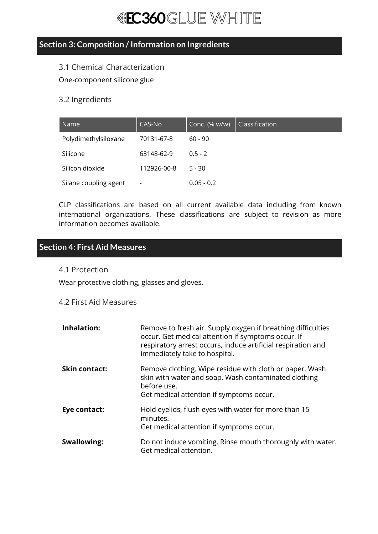# **Section 3: Composition /Information on Ingredients**

### 3.1 Chemical Characterization

One-component silicone glue

### 3.2 Ingredients

| Name                  | CAS-No                   | Conc. (% w/w) | Classification |
|-----------------------|--------------------------|---------------|----------------|
| Polydimethylsiloxane  | 70131-67-8               | $60 - 90$     |                |
| Silicone              | 63148-62-9               | $0.5 - 2$     |                |
| Silicon dioxide       | 112926-00-8              | $5 - 30$      |                |
| Silane coupling agent | $\overline{\phantom{a}}$ | $0.05 - 0.2$  |                |

CLP classifications are based on all current available data including from known international organizations. These classifications are subject to revision as more information becomes available.

# **Section 4: First Aid Measures**

#### 4.1 Protection

Wear protective clothing, glasses and gloves.

### 4.2 First Aid Measures

| Inhalation:          | Remove to fresh air. Supply oxygen if breathing difficulties<br>occur. Get medical attention if symptoms occur. If<br>respiratory arrest occurs, induce artificial respiration and<br>immediately take to hospital. |
|----------------------|---------------------------------------------------------------------------------------------------------------------------------------------------------------------------------------------------------------------|
| <b>Skin contact:</b> | Remove clothing. Wipe residue with cloth or paper. Wash<br>skin with water and soap. Wash contaminated clothing<br>before use.<br>Get medical attention if symptoms occur.                                          |
| Eye contact:         | Hold eyelids, flush eyes with water for more than 15<br>minutes.<br>Get medical attention if symptoms occur.                                                                                                        |
| <b>Swallowing:</b>   | Do not induce vomiting. Rinse mouth thoroughly with water.<br>Get medical attention.                                                                                                                                |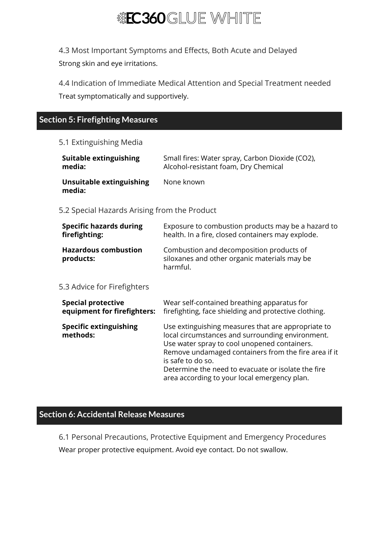

4.3 Most Important Symptoms and Effects, Both Acute and Delayed Strong skin and eye irritations.

4.4 Indication of Immediate Medical Attention and Special Treatment needed Treat symptomatically and supportively.

# **Section 5: Firefighting Measures**

#### 5.1 Extinguishing Media

| Suitable extinguishing             | Small fires: Water spray, Carbon Dioxide (CO2), |
|------------------------------------|-------------------------------------------------|
| media:                             | Alcohol-resistant foam, Dry Chemical            |
| Unsuitable extinguishing<br>media: | None known                                      |

5.2 Special Hazards Arising from the Product

| <b>Specific hazards during</b>           | Exposure to combustion products may be a hazard to                                                   |
|------------------------------------------|------------------------------------------------------------------------------------------------------|
| firefighting:                            | health. In a fire, closed containers may explode.                                                    |
| <b>Hazardous combustion</b><br>products: | Combustion and decomposition products of<br>siloxanes and other organic materials may be<br>harmful. |

#### 5.3 Advice for Firefighters

| <b>Special protective</b>                 | Wear self-contained breathing apparatus for                                                                                                                                                                                                                                                                                               |
|-------------------------------------------|-------------------------------------------------------------------------------------------------------------------------------------------------------------------------------------------------------------------------------------------------------------------------------------------------------------------------------------------|
| equipment for firefighters:               | firefighting, face shielding and protective clothing.                                                                                                                                                                                                                                                                                     |
| <b>Specific extinguishing</b><br>methods: | Use extinguishing measures that are appropriate to<br>local circumstances and surrounding environment.<br>Use water spray to cool unopened containers.<br>Remove undamaged containers from the fire area if it<br>is safe to do so.<br>Determine the need to evacuate or isolate the fire<br>area according to your local emergency plan. |

# **Section 6: Accidental Release Measures**

6.1 Personal Precautions, Protective Equipment and Emergency Procedures Wear proper protective equipment. Avoid eye contact. Do not swallow.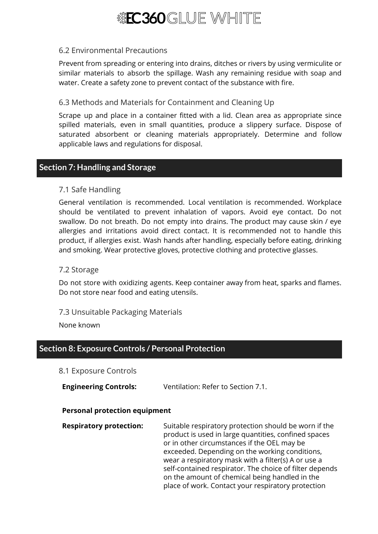

#### 6.2 Environmental Precautions

Prevent from spreading or entering into drains, ditches or rivers by using vermiculite or similar materials to absorb the spillage. Wash any remaining residue with soap and water. Create a safety zone to prevent contact of the substance with fire.

#### 6.3 Methods and Materials for Containment and Cleaning Up

Scrape up and place in a container fitted with a lid. Clean area as appropriate since spilled materials, even in small quantities, produce a slippery surface. Dispose of saturated absorbent or cleaning materials appropriately. Determine and follow applicable laws and regulations for disposal.

### **Section 7: Handling and Storage**

#### 7.1 Safe Handling

General ventilation is recommended. Local ventilation is recommended. Workplace should be ventilated to prevent inhalation of vapors. Avoid eye contact. Do not swallow. Do not breath. Do not empty into drains. The product may cause skin / eye allergies and irritations avoid direct contact. It is recommended not to handle this product, if allergies exist. Wash hands after handling, especially before eating, drinking and smoking. Wear protective gloves, protective clothing and protective glasses.

#### 7.2 Storage

Do not store with oxidizing agents. Keep container away from heat, sparks and flames. Do not store near food and eating utensils.

#### 7.3 Unsuitable Packaging Materials

None known

# **Section 8: Exposure Controls / Personal Protection**

- 8.1 Exposure Controls
- **Engineering Controls:** Ventilation: Refer to Section 7.1.

#### **Personal protection equipment**

**Respiratory protection:** Suitable respiratory protection should be worn if the product is used in large quantities, confined spaces or in other circumstances if the OEL may be exceeded. Depending on the working conditions, wear a respiratory mask with a filter(s) A or use a self-contained respirator. The choice of filter depends on the amount of chemical being handled in the place of work. Contact your respiratory protection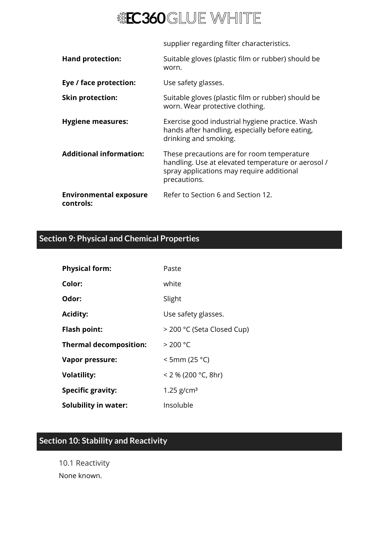

supplier regarding filter characteristics.

| <b>Hand protection:</b>                    | Suitable gloves (plastic film or rubber) should be<br>worn.                                                                                                   |
|--------------------------------------------|---------------------------------------------------------------------------------------------------------------------------------------------------------------|
| Eye / face protection:                     | Use safety glasses.                                                                                                                                           |
| <b>Skin protection:</b>                    | Suitable gloves (plastic film or rubber) should be<br>worn. Wear protective clothing.                                                                         |
| <b>Hygiene measures:</b>                   | Exercise good industrial hygiene practice. Wash<br>hands after handling, especially before eating,<br>drinking and smoking.                                   |
| <b>Additional information:</b>             | These precautions are for room temperature<br>handling. Use at elevated temperature or aerosol /<br>spray applications may require additional<br>precautions. |
| <b>Environmental exposure</b><br>controls: | Refer to Section 6 and Section 12.                                                                                                                            |

# **Section 9: Physical and Chemical Properties**

| <b>Physical form:</b>         | Paste                      |
|-------------------------------|----------------------------|
| Color:                        | white                      |
| Odor:                         | Slight                     |
| <b>Acidity:</b>               | Use safety glasses.        |
| <b>Flash point:</b>           | > 200 °C (Seta Closed Cup) |
| <b>Thermal decomposition:</b> | > 200 °C                   |
| <b>Vapor pressure:</b>        | $<$ 5mm (25 °C)            |
| <b>Volatility:</b>            | $<$ 2 % (200 °C, 8hr)      |
| <b>Specific gravity:</b>      | $1.25$ g/cm <sup>3</sup>   |
| <b>Solubility in water:</b>   | Insoluble                  |

# **Section 10: Stability and Reactivity**

10.1 Reactivity None known.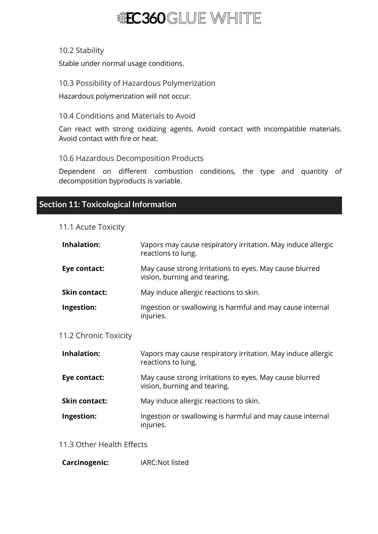#### 10.2 Stability

Stable under normal usage conditions.

10.3 Possibility of Hazardous Polymerization

Hazardous polymerization will not occur.

#### 10.4 Conditions and Materials to Avoid

Can react with strong oxidizing agents. Avoid contact with incompatible materials. Avoid contact with fire or heat.

10.6 Hazardous Decomposition Products

Dependent on different combustion conditions, the type and quantity of decomposition byproducts is variable.

# **Section 11: Toxicological Information**

#### 11.1 Acute Toxicity

| <b>Inhalation:</b>    | Vapors may cause respiratory irritation. May induce allergic<br>reactions to lung.      |
|-----------------------|-----------------------------------------------------------------------------------------|
| Eye contact:          | May cause strong irritations to eyes. May cause blurred<br>vision, burning and tearing. |
| <b>Skin contact:</b>  | May induce allergic reactions to skin.                                                  |
| Ingestion:            | Ingestion or swallowing is harmful and may cause internal<br>injuries.                  |
| 11.2 Chronic Toxicity |                                                                                         |
| <b>Inhalation:</b>    | Vapors may cause respiratory irritation. May induce allergic<br>reactions to lung.      |
| Eye contact:          | May cause strong irritations to eyes. May cause blurred<br>vision, burning and tearing. |
| <b>Skin contact:</b>  | May induce allergic reactions to skin.                                                  |
| Ingestion:            | Ingestion or swallowing is harmful and may cause internal<br>injuries.                  |

#### 11.3 Other Health Effects

**Carcinogenic:** IARC:Not listed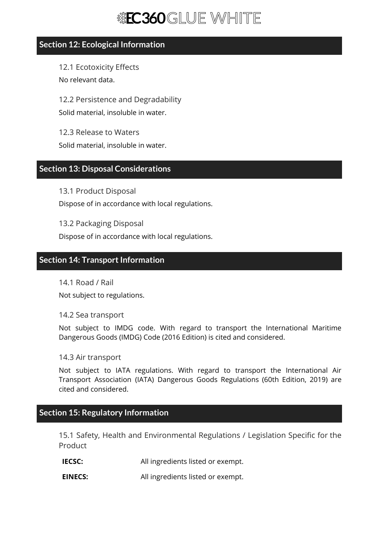## **Section 12: Ecological Information**

12.1 Ecotoxicity Effects No relevant data.

12.2 Persistence and Degradability Solid material, insoluble in water.

12.3 Release to Waters Solid material, insoluble in water.

# **Section 13: Disposal Considerations**

13.1 Product Disposal Dispose of in accordance with local regulations.

13.2 Packaging Disposal Dispose of in accordance with local regulations.

# **Section 14: Transport Information**

14.1 Road / Rail Not subject to regulations.

14.2 Sea transport

Not subject to IMDG code. With regard to transport the International Maritime Dangerous Goods (IMDG) Code (2016 Edition) is cited and considered.

14.3 Air transport

Not subject to IATA regulations. With regard to transport the International Air Transport Association (IATA) Dangerous Goods Regulations (60th Edition, 2019) are cited and considered.

# **Section 15: Regulatory Information**

15.1 Safety, Health and Environmental Regulations / Legislation Specific for the **Product** 

**IECSC:** All ingredients listed or exempt.

**EINECS:** All ingredients listed or exempt.